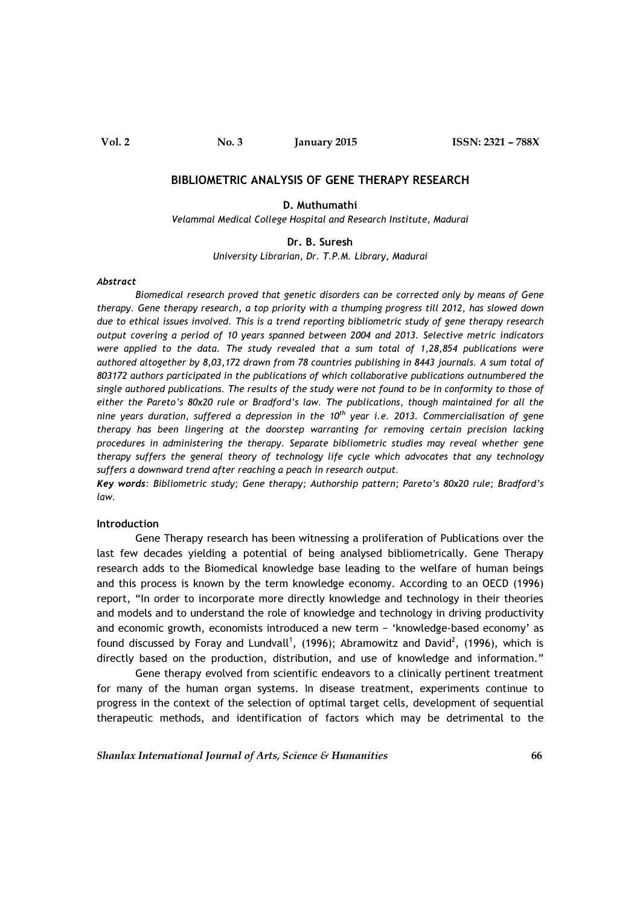## BIBLIOMETRIC ANALYSIS OF GENE THERAPY RESEARCH

### D. Muthumathi

Velammal Medical College Hospital and Research Institute, Madurai

#### Dr. B. Suresh

University Librarian, Dr. T.P.M. Library, Madurai

#### Abstract

 Biomedical research proved that genetic disorders can be corrected only by means of Gene therapy. Gene therapy research, a top priority with a thumping progress till 2012, has slowed down due to ethical issues involved. This is a trend reporting bibliometric study of gene therapy research output covering a period of 10 years spanned between 2004 and 2013. Selective metric indicators were applied to the data. The study revealed that a sum total of 1,28,854 publications were authored altogether by 8,03,172 drawn from 78 countries publishing in 8443 journals. A sum total of 803172 authors participated in the publications of which collaborative publications outnumbered the single authored publications. The results of the study were not found to be in conformity to those of either the Pareto's 80x20 rule or Bradford's law. The publications, though maintained for all the nine years duration, suffered a depression in the  $10<sup>th</sup>$  year i.e. 2013. Commercialisation of gene therapy has been lingering at the doorstep warranting for removing certain precision lacking procedures in administering the therapy. Separate bibliometric studies may reveal whether gene therapy suffers the general theory of technology life cycle which advocates that any technology suffers a downward trend after reaching a peach in research output.

Key words: Bibliometric study; Gene therapy; Authorship pattern; Pareto's 80x20 rule; Bradford's law.

#### Introduction

Gene Therapy research has been witnessing a proliferation of Publications over the last few decades yielding a potential of being analysed bibliometrically. Gene Therapy research adds to the Biomedical knowledge base leading to the welfare of human beings and this process is known by the term knowledge economy. According to an OECD (1996) report, "In order to incorporate more directly knowledge and technology in their theories and models and to understand the role of knowledge and technology in driving productivity and economic growth, economists introduced a new term − 'knowledge-based economy' as found discussed by Foray and Lundvall<sup>1</sup>, (1996); Abramowitz and David<sup>2</sup>, (1996), which is directly based on the production, distribution, and use of knowledge and information."

 Gene therapy evolved from scientific endeavors to a clinically pertinent treatment for many of the human organ systems. In disease treatment, experiments continue to progress in the context of the selection of optimal target cells, development of sequential therapeutic methods, and identification of factors which may be detrimental to the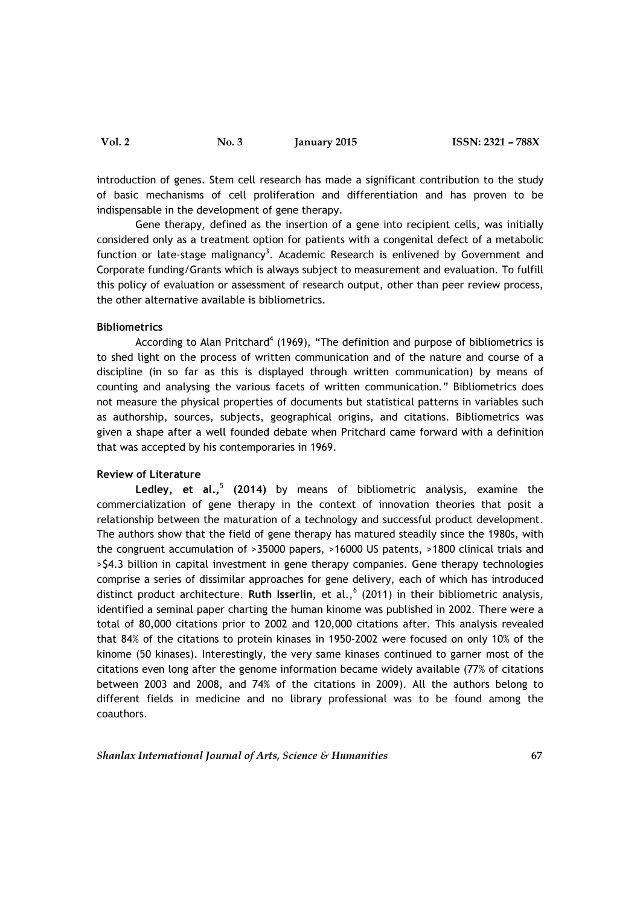Vol. 2 No. 3 January 2015 ISSN: 2321 – 788X

introduction of genes. Stem cell research has made a significant contribution to the study of basic mechanisms of cell proliferation and differentiation and has proven to be indispensable in the development of gene therapy.

 Gene therapy, defined as the insertion of a gene into recipient cells, was initially considered only as a treatment option for patients with a congenital defect of a metabolic function or late-stage malignancy<sup>3</sup>. Academic Research is enlivened by Government and Corporate funding/Grants which is always subject to measurement and evaluation. To fulfill this policy of evaluation or assessment of research output, other than peer review process, the other alternative available is bibliometrics.

## Bibliometrics

According to Alan Pritchard<sup>4</sup> (1969), "The definition and purpose of bibliometrics is to shed light on the process of written communication and of the nature and course of a discipline (in so far as this is displayed through written communication) by means of counting and analysing the various facets of written communication." Bibliometrics does not measure the physical properties of documents but statistical patterns in variables such as authorship, sources, subjects, geographical origins, and citations. Bibliometrics was given a shape after a well founded debate when Pritchard came forward with a definition that was accepted by his contemporaries in 1969.

#### Review of Literature

Ledley, et al., $5(2014)$  by means of bibliometric analysis, examine the commercialization of gene therapy in the context of innovation theories that posit a relationship between the maturation of a technology and successful product development. The authors show that the field of gene therapy has matured steadily since the 1980s, with the congruent accumulation of >35000 papers, >16000 US patents, >1800 clinical trials and >\$4.3 billion in capital investment in gene therapy companies. Gene therapy technologies comprise a series of dissimilar approaches for gene delivery, each of which has introduced distinct product architecture. Ruth Isserlin, et al.,<sup>6</sup> (2011) in their bibliometric analysis, identified a seminal paper charting the human kinome was published in 2002. There were a total of 80,000 citations prior to 2002 and 120,000 citations after. This analysis revealed that 84% of the citations to protein kinases in 1950-2002 were focused on only 10% of the kinome (50 kinases). Interestingly, the very same kinases continued to garner most of the citations even long after the genome information became widely available (77% of citations between 2003 and 2008, and 74% of the citations in 2009). All the authors belong to different fields in medicine and no library professional was to be found among the coauthors.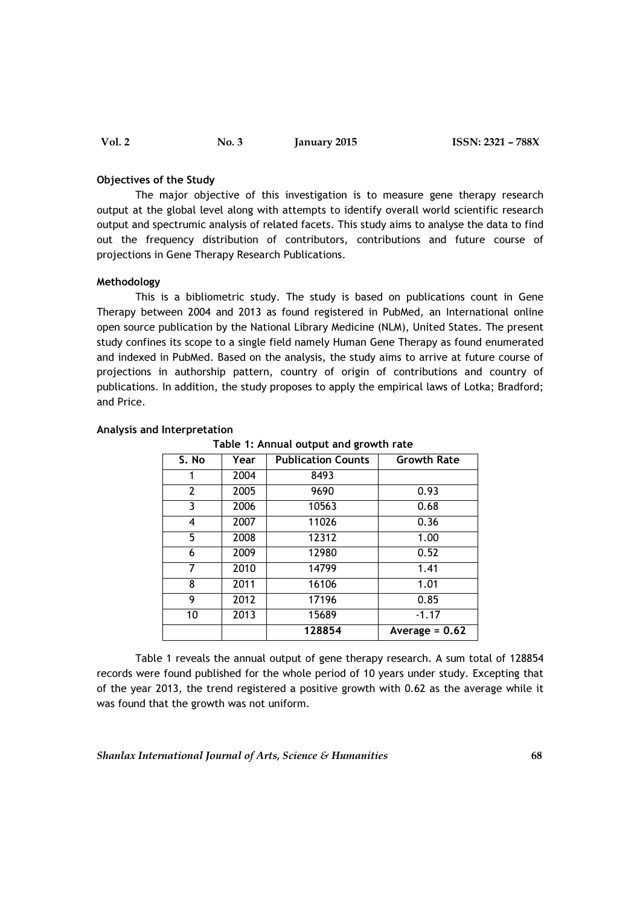### Objectives of the Study

 The major objective of this investigation is to measure gene therapy research output at the global level along with attempts to identify overall world scientific research output and spectrumic analysis of related facets. This study aims to analyse the data to find out the frequency distribution of contributors, contributions and future course of projections in Gene Therapy Research Publications.

### Methodology

 This is a bibliometric study. The study is based on publications count in Gene Therapy between 2004 and 2013 as found registered in PubMed, an International online open source publication by the National Library Medicine (NLM), United States. The present study confines its scope to a single field namely Human Gene Therapy as found enumerated and indexed in PubMed. Based on the analysis, the study aims to arrive at future course of projections in authorship pattern, country of origin of contributions and country of publications. In addition, the study proposes to apply the empirical laws of Lotka; Bradford; and Price.

| S. No          | Year | <b>Publication Counts</b> | <b>Growth Rate</b> |
|----------------|------|---------------------------|--------------------|
|                | 2004 | 8493                      |                    |
| $\overline{2}$ | 2005 | 9690                      | 0.93               |
| 3              | 2006 | 10563                     | 0.68               |
| 4              | 2007 | 11026                     | 0.36               |
| 5              | 2008 | 12312                     | 1.00               |
| 6              | 2009 | 12980                     | 0.52               |
| 7              | 2010 | 14799                     | 1.41               |
| 8              | 2011 | 16106                     | 1.01               |
| 9              | 2012 | 17196                     | 0.85               |
| 10             | 2013 | 15689                     | $-1.17$            |
|                |      | 128854                    | Average = $0.62$   |

#### Analysis and Interpretation

Table 1: Annual output and growth rate

 Table 1 reveals the annual output of gene therapy research. A sum total of 128854 records were found published for the whole period of 10 years under study. Excepting that of the year 2013, the trend registered a positive growth with 0.62 as the average while it was found that the growth was not uniform.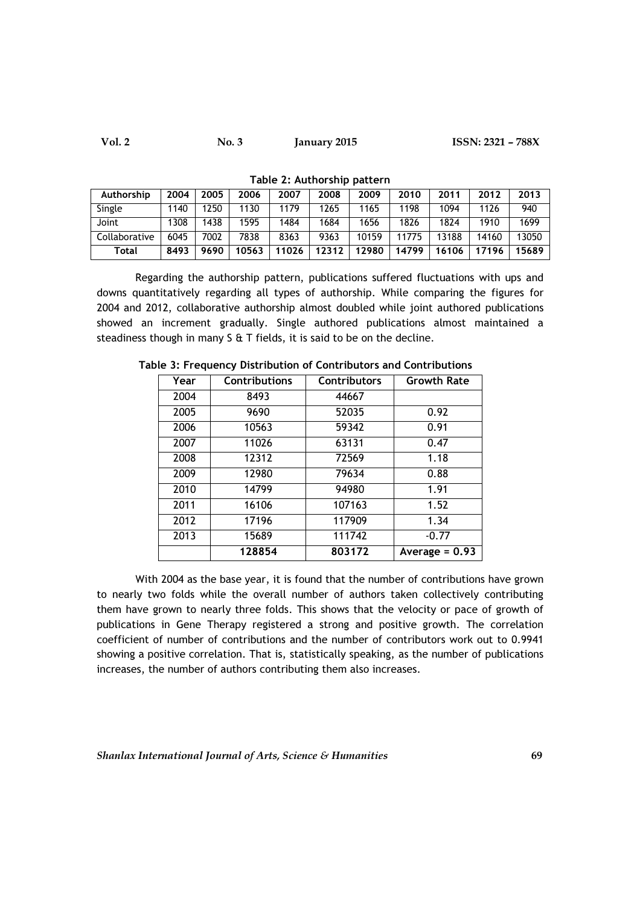| Authorship    | 2004 | 2005 | 2006  | 2007  | 2008  | 2009  | 2010  | 2011  | 2012  | 2013  |
|---------------|------|------|-------|-------|-------|-------|-------|-------|-------|-------|
| Single        | 1140 | 250  | 1130  | 1179  | 1265  | 1165  | 198   | 1094  | 1126  | 940   |
| Joint         | 1308 | 1438 | 1595  | 1484  | 1684  | 1656  | 1826  | 1824  | 1910  | 1699  |
| Collaborative | 6045 | 7002 | 7838  | 8363  | 9363  | 10159 | 11775 | 13188 | 14160 | 13050 |
| Total         | 8493 | 9690 | 10563 | 11026 | 12312 | 12980 | 14799 | 16106 | 17196 | 15689 |

Table 2: Authorship pattern

 Regarding the authorship pattern, publications suffered fluctuations with ups and downs quantitatively regarding all types of authorship. While comparing the figures for 2004 and 2012, collaborative authorship almost doubled while joint authored publications showed an increment gradually. Single authored publications almost maintained a steadiness though in many S & T fields, it is said to be on the decline.

| Year | <b>Contributions</b> | <b>Contributors</b> | <b>Growth Rate</b> |
|------|----------------------|---------------------|--------------------|
| 2004 | 8493                 | 44667               |                    |
| 2005 | 9690                 | 52035               | 0.92               |
| 2006 | 10563                | 59342               | 0.91               |
| 2007 | 11026                | 63131               | 0.47               |
| 2008 | 12312                | 72569               | 1.18               |
| 2009 | 12980                | 79634               | 0.88               |
| 2010 | 14799                | 94980               | 1.91               |
| 2011 | 16106                | 107163              | 1.52               |
| 2012 | 17196                | 117909              | 1.34               |
| 2013 | 15689                | 111742              | $-0.77$            |
|      | 128854               | 803172              | Average = $0.93$   |

Table 3: Frequency Distribution of Contributors and Contributions

With 2004 as the base year, it is found that the number of contributions have grown to nearly two folds while the overall number of authors taken collectively contributing them have grown to nearly three folds. This shows that the velocity or pace of growth of publications in Gene Therapy registered a strong and positive growth. The correlation coefficient of number of contributions and the number of contributors work out to 0.9941 showing a positive correlation. That is, statistically speaking, as the number of publications increases, the number of authors contributing them also increases.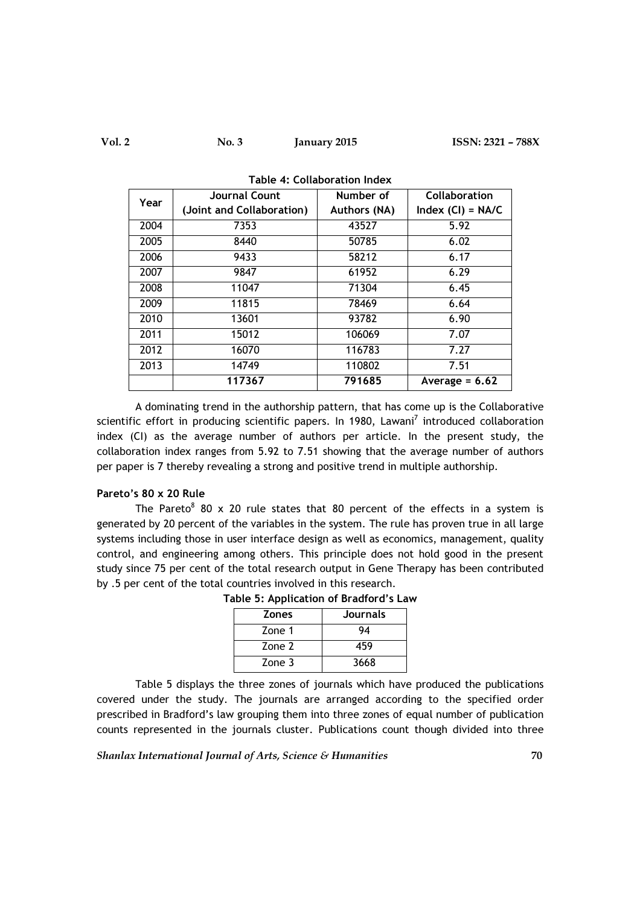| Year | <b>Journal Count</b>      | Number of           | Collaboration       |  |
|------|---------------------------|---------------------|---------------------|--|
|      | (Joint and Collaboration) | <b>Authors (NA)</b> | Index $(Cl) = NA/C$ |  |
| 2004 | 7353                      | 43527               | 5.92                |  |
| 2005 | 8440                      | 50785               | 6.02                |  |
| 2006 | 9433                      | 58212               | 6.17                |  |
| 2007 | 9847                      | 61952               | 6.29                |  |
| 2008 | 11047                     | 71304               | 6.45                |  |
| 2009 | 11815                     | 78469               | 6.64                |  |
| 2010 | 13601                     | 93782               | 6.90                |  |
| 2011 | 15012                     | 106069              | 7.07                |  |
| 2012 | 16070                     | 116783              | 7.27                |  |
| 2013 | 14749                     | 110802              | 7.51                |  |
|      | 117367                    | 791685              | Average = $6.62$    |  |

Table 4: Collaboration Index

 A dominating trend in the authorship pattern, that has come up is the Collaborative scientific effort in producing scientific papers. In 1980, Lawani<sup>7</sup> introduced collaboration index (CI) as the average number of authors per article. In the present study, the collaboration index ranges from 5.92 to 7.51 showing that the average number of authors per paper is 7 thereby revealing a strong and positive trend in multiple authorship.

# Pareto's 80 x 20 Rule

The Pareto<sup>8</sup> 80 x 20 rule states that 80 percent of the effects in a system is generated by 20 percent of the variables in the system. The rule has proven true in all large systems including those in user interface design as well as economics, management, quality control, and engineering among others. This principle does not hold good in the present study since 75 per cent of the total research output in Gene Therapy has been contributed by .5 per cent of the total countries involved in this research.

| <b>Zones</b> | <b>Journals</b> |
|--------------|-----------------|
| Zone 1       | 94              |
| Zone 2       | 459             |
| Zone 3       | 3668            |

Table 5: Application of Bradford's Law

 Table 5 displays the three zones of journals which have produced the publications covered under the study. The journals are arranged according to the specified order prescribed in Bradford's law grouping them into three zones of equal number of publication counts represented in the journals cluster. Publications count though divided into three